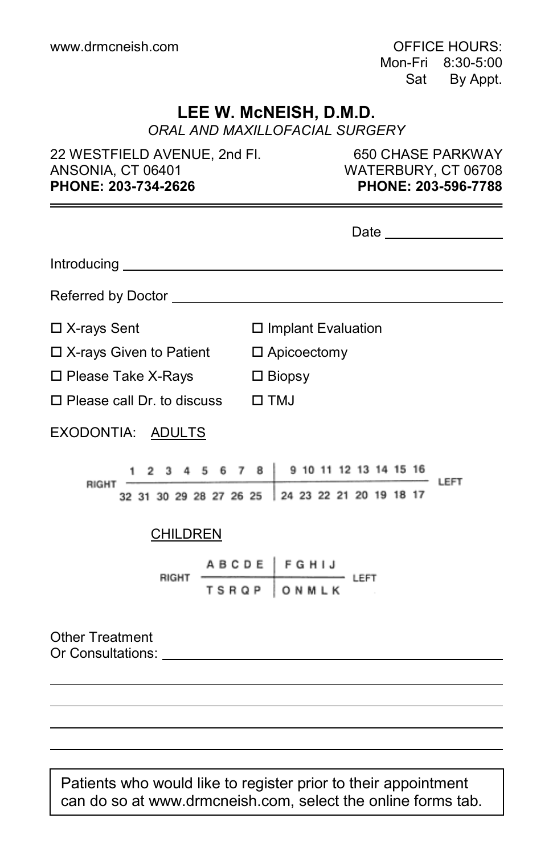Mon-Fri 8:30-5:00 Sat By Appt.

## **LEE W. McNEISH, D.M.D.**

*ORAL AND MAXILLOFACIAL SURGERY*

22 WESTFIELD AVENUE, 2nd Fl. 650 CHASE PARKWAY ANSONIA, CT 06401 WATERBURY, CT 06708 **PHONE: 203-734-2626 PHONE: 203-596-7788**

|                                                                                                                                                                                                                                                         | Date __________________                                                                           |
|---------------------------------------------------------------------------------------------------------------------------------------------------------------------------------------------------------------------------------------------------------|---------------------------------------------------------------------------------------------------|
|                                                                                                                                                                                                                                                         |                                                                                                   |
|                                                                                                                                                                                                                                                         |                                                                                                   |
| $\Box$ X-rays Sent                                                                                                                                                                                                                                      | □ Implant Evaluation                                                                              |
| □ X-rays Given to Patient □ Apicoectomy                                                                                                                                                                                                                 |                                                                                                   |
| $\Box$ Please Take X-Rays $\Box$ Biopsy                                                                                                                                                                                                                 |                                                                                                   |
| $\Box$ Please call Dr. to discuss $\Box$ TMJ                                                                                                                                                                                                            |                                                                                                   |
| EXODONTIA: ADULTS                                                                                                                                                                                                                                       |                                                                                                   |
| <b>RIGHT</b>                                                                                                                                                                                                                                            | 1 2 3 4 5 6 7 8 9 10 11 12 13 14 15 16<br>LEFT<br>32 31 30 29 28 27 26 25 24 23 22 21 20 19 18 17 |
| <b>CHILDREN</b>                                                                                                                                                                                                                                         |                                                                                                   |
| RIGHT                                                                                                                                                                                                                                                   | A B C D E   F G H I J<br>$-$ Left<br>TSRQP ONMLK                                                  |
| <b>Other Treatment</b><br>Or Consultations: The Consultation of the Consultation of the Consultation of the Consultation of the Consultation of the Consultation of the Consultation of the Consultation of the Consultation of the Consultation of the |                                                                                                   |
|                                                                                                                                                                                                                                                         |                                                                                                   |

Patients who would like to register prior to their appointment can do so at www.drmcneish.com, select the online forms tab.